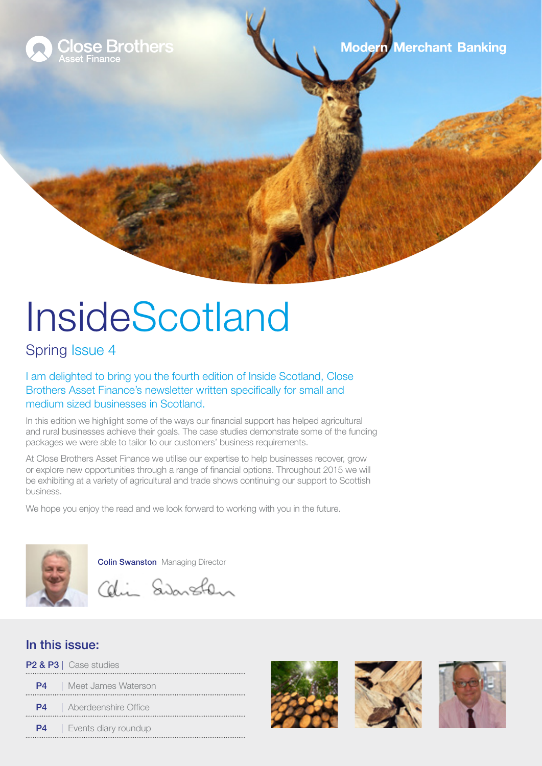

# InsideScotland

## Spring Issue 4

I am delighted to bring you the fourth edition of Inside Scotland, Close Brothers Asset Finance's newsletter written specifically for small and medium sized businesses in Scotland.

In this edition we highlight some of the ways our financial support has helped agricultural and rural businesses achieve their goals. The case studies demonstrate some of the funding packages we were able to tailor to our customers' business requirements.

At Close Brothers Asset Finance we utilise our expertise to help businesses recover, grow or explore new opportunities through a range of financial options. Throughout 2015 we will be exhibiting at a variety of agricultural and trade shows continuing our support to Scottish business.

We hope you enjoy the read and we look forward to working with you in the future.



**Colin Swanston Managing Director** 



#### In this issue:

| P2 & P3   Case studies           |
|----------------------------------|
| <b>P4</b>   Meet James Waterson  |
| <b>P4</b>   Aberdeenshire Office |
| <b>P4</b>   Events diary roundup |



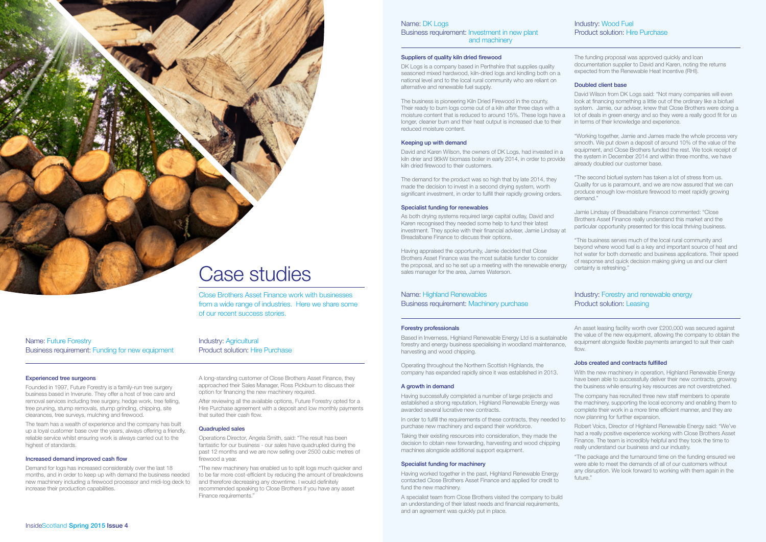# Case studies

Close Brothers Asset Finance work with businesses from a wide range of industries. Here we share some of our recent success stories.

#### Experienced tree surgeons

Founded in 1997, Future Forestry is a family-run tree surgery business based in Inverurie. They offer a host of tree care and removal services including tree surgery, hedge work, tree felling, tree pruning, stump removals, stump grinding, chipping, site clearances, tree surveys, mulching and firewood.

The team has a wealth of experience and the company has built up a loyal customer base over the years, always offering a friendly, reliable service whilst ensuring work is always carried out to the highest of standards.

#### Increased demand improved cash flow

Demand for logs has increased considerably over the last 18 months, and in order to keep up with demand the business needed new machinery including a firewood processor and midi-log deck to increase their production capabilities.

A long-standing customer of Close Brothers Asset Finance, they approached their Sales Manager, Ross Pickburn to discuss their option for financing the new machinery required.

After reviewing all the available options, Future Forestry opted for a Hire Purchase agreement with a deposit and low monthly payments that suited their cash flow.

In order to fulfill the requirements of these contracts, they needed to purchase new machinery and expand their workforce.

#### Quadrupled sales

Operations Director, Angela Smith, said: "The result has been fantastic for our business - our sales have quadrupled during the past 12 months and we are now selling over 2500 cubic metres of firewood a year.

An asset leasing facility worth over £200,000 was secured against the value of the new equipment, allowing the company to obtain the equipment alongside flexible payments arranged to suit their cash flow

"The new machinery has enabled us to split logs much quicker and to be far more cost-efficient by reducing the amount of breakdowns and therefore decreasing any downtime. I would definitely recommended speaking to Close Brothers if you have any asset Finance requirements."

Name: Future Forestry Business requirement: Funding for new equipment Industry: Agricultural

Product solution: Hire Purchase

#### Forestry professionals

Based in Inverness, Highland Renewable Energy Ltd is a sustainable forestry and energy business specialising in woodland maintenance, harvesting and wood chipping.

Operating throughout the Northern Scottish Highlands, the company has expanded rapidly since it was established in 2013.

DK Logs is a company based in Perthshire that supplies quality seasoned mixed hardwood, kiln-dried logs and kindling both on a national level and to the local rural community who are reliant on alternative and renewable fuel supply.

#### A growth in demand

Having successfully completed a number of large projects and established a strong reputation, Highland Renewable Energy was awarded several lucrative new contracts.

Taking their existing resources into consideration, they made the decision to obtain new forwarding, harvesting and wood chipping machines alongside additional support equipment.

#### Specialist funding for machinery

Having worked together in the past, Highland Renewable Energy contacted Close Brothers Asset Finance and applied for credit to fund the new machinery.

A specialist team from Close Brothers visited the company to build an understanding of their latest needs and financial requirements, and an agreement was quickly put in place.

#### Jobs created and contracts fulfilled

With the new machinery in operation, Highland Renewable Energy have been able to successfully deliver their new contracts, growing the business while ensuring key resources are not overstretched.

The company has recruited three new staff members to operate the machinery, supporting the local economy and enabling them to complete their work in a more time efficient manner, and they are now planning for further expansion.

Robert Voics, Director of Highland Renewable Energy said: "We've had a really positive experience working with Close Brothers Asset Finance. The team is incredibly helpful and they took the time to really understand our business and our industry.

"The package and the turnaround time on the funding ensured we were able to meet the demands of all of our customers without any disruption. We look forward to working with them again in the future."

#### Suppliers of quality kiln dried firewood

The business is pioneering Kiln Dried Firewood in the county. Their ready to burn logs come out of a kiln after three days with a moisture content that is reduced to around 15%. These logs have a longer, cleaner burn and their heat output is increased due to their reduced moisture content.

#### Keeping up with demand

David and Karen Wilson, the owners of DK Logs, had invested in a kiln drier and 96kW biomass boiler in early 2014, in order to provide kiln dried firewood to their customers.

The demand for the product was so high that by late 2014, they made the decision to invest in a second drying system, worth significant investment, in order to fulfill their rapidly growing orders.

#### Specialist funding for renewables

As both drying systems required large capital outlay, David and Karen recognised they needed some help to fund their latest investment. They spoke with their financial adviser, Jamie Lindsay at Breadalbane Finance to discuss their options.

Having appraised the opportunity, Jamie decided that Close Brothers Asset Finance was the most suitable funder to consider the proposal, and so he set up a meeting with the renewable energy sales manager for the area, James Waterson.

The funding proposal was approved quickly and loan documentation supplier to David and Karen, noting the returns expected from the Renewable Heat Incentive (RHI).

#### Doubled client base

David Wilson from DK Logs said: "Not many companies will even look at financing something a little out of the ordinary like a biofuel system. Jamie, our adviser, knew that Close Brothers were doing a lot of deals in green energy and so they were a really good fit for us in terms of their knowledge and experience.

"Working together, Jamie and James made the whole process very smooth. We put down a deposit of around 10% of the value of the equipment, and Close Brothers funded the rest. We took receipt of the system in December 2014 and within three months, we have already doubled our customer base.

"The second biofuel system has taken a lot of stress from us. Quality for us is paramount, and we are now assured that we can produce enough low-moisture firewood to meet rapidly growing demand."

Jamie Lindsay of Breadalbane Finance commented: "Close Brothers Asset Finance really understand this market and the particular opportunity presented for this local thriving business.

"This business serves much of the local rural community and beyond where wood fuel is a key and important source of heat and hot water for both domestic and business applications. Their speed of response and quick decision making giving us and our client certainty is refreshing."

Name: DK Logs

Business requirement: Investment in new plant and machinery

### Name: Highland Renewables

Business requirement: Machinery purchase

#### Industry: Forestry and renewable energy Product solution: Leasing